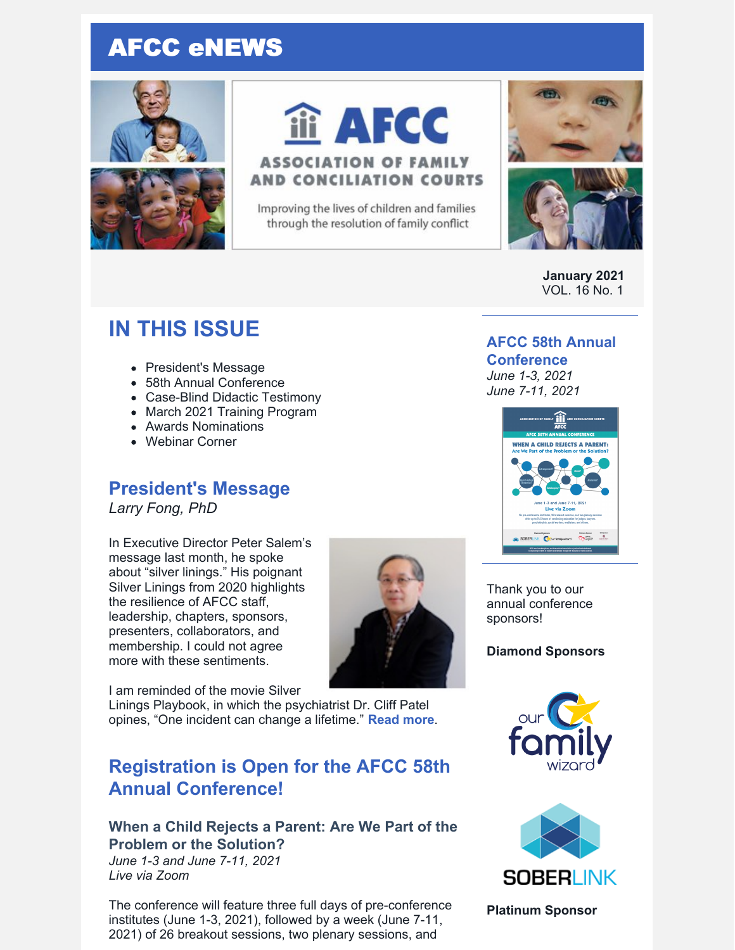# AFCC eNEWS





# iii AFCC

#### **ASSOCIATION OF FAMILY AND CONCILIATION COURTS**

Improving the lives of children and families through the resolution of family conflict



**January 2021** VOL. 16 No. 1

## **IN THIS ISSUE**

- President's Message
- 58th Annual Conference
- Case-Blind Didactic Testimony
- March 2021 Training Program
- Awards Nominations
- Webinar Corner

## **President's Message**

*Larry Fong, PhD*

In Executive Director Peter Salem's message last month, he spoke about "silver linings." His poignant Silver Linings from 2020 highlights the resilience of AFCC staff, leadership, chapters, sponsors, presenters, collaborators, and membership. I could not agree more with these sentiments.

I am reminded of the movie Silver

Linings Playbook, in which the psychiatrist Dr. Cliff Patel opines, "One incident can change a lifetime." **[Read](https://files.constantcontact.com/6beb60a3701/e6c06446-bd3a-4352-ad96-fbce45ddbe34.pdf) more**.

## **Registration is Open for the AFCC 58th Annual Conference!**

#### **When a Child Rejects a Parent: Are We Part of the Problem or the Solution?**

*June 1-3 and June 7-11, 2021 Live via Zoom*

The conference will feature three full days of pre-conference institutes (June 1-3, 2021), followed by a week (June 7-11, 2021) of 26 breakout sessions, two plenary sessions, and

#### **AFCC 58th Annual**

#### **Conference**

*June 1-3, 2021 June 7-11, 2021*



Thank you to our annual conference sponsors!

**Diamond Sponsors**





**Platinum Sponsor**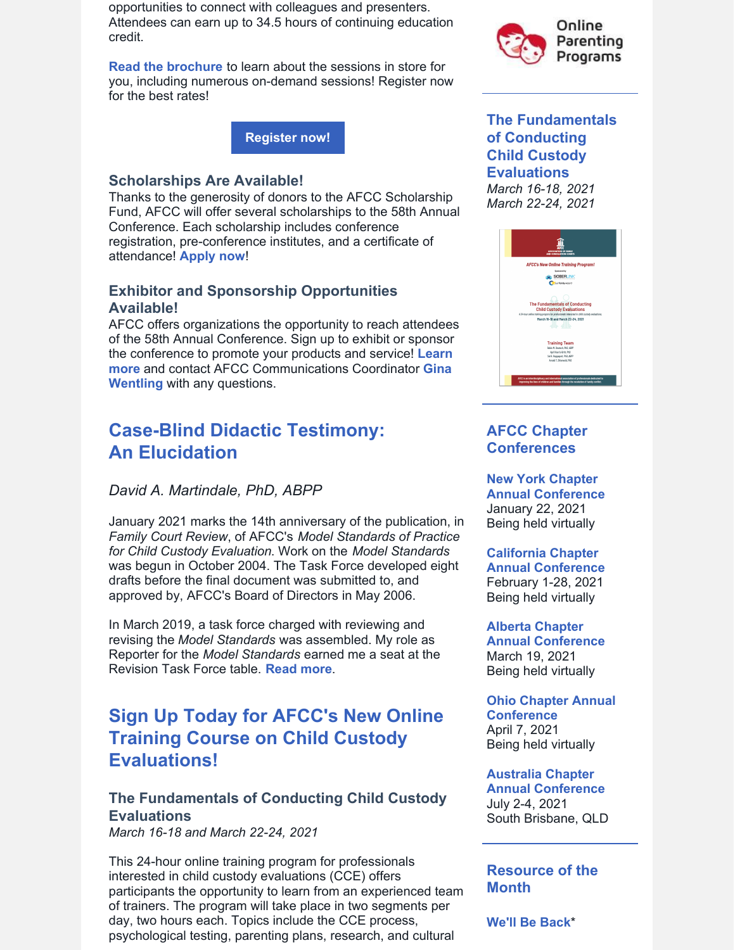opportunities to connect with colleagues and presenters. Attendees can earn up to 34.5 hours of continuing education credit.

**Read the [brochure](https://www.afccnet.org/Portals/0/Conferences/58th Annual Brochure.pdf)** to learn about the sessions in store for you, including numerous on-demand sessions! Register now for the best rates!

**[Register](https://www.afccnet.org/Conferences-Training/AFCC-Conferences/ctl/ViewConference/ConferenceID/227/mid/615) now!**

#### **Scholarships Are Available!**

Thanks to the generosity of donors to the AFCC Scholarship Fund, AFCC will offer several scholarships to the 58th Annual Conference. Each scholarship includes conference registration, pre-conference institutes, and a certificate of attendance! **[Apply](https://www.surveymonkey.com/r/58thAnnualScholarship) now**!

#### **Exhibitor and Sponsorship Opportunities Available!**

AFCC offers organizations the opportunity to reach attendees of the 58th Annual Conference. Sign up to exhibit or sponsor the conference to promote your products and service! **Learn more** and contact AFCC [Communications](mailto:gwentling@afccnet.org) Coordinator **Gina Wentling** with any questions.

## **Case-Blind Didactic Testimony: An Elucidation**

#### *David A. Martindale, PhD, ABPP*

January 2021 marks the 14th anniversary of the publication, in *Family Court Review*, of AFCC's *Model Standards of Practice for Child Custody Evaluation*. Work on the *Model Standards* was begun in October 2004. The Task Force developed eight drafts before the final document was submitted to, and approved by, AFCC's Board of Directors in May 2006.

In March 2019, a task force charged with reviewing and revising the *Model Standards* was assembled. My role as Reporter for the *Model Standards* earned me a seat at the Revision Task Force table. **[Read](https://files.constantcontact.com/6beb60a3701/208e4dee-2daa-41ed-af2d-65d0bc299c41.pdf) more**.

## **Sign Up Today for AFCC's New Online Training Course on Child Custody Evaluations!**

#### **The Fundamentals of Conducting Child Custody Evaluations**

*March 16-18 and March 22-24, 2021*

This 24-hour online training program for professionals interested in child custody evaluations (CCE) offers participants the opportunity to learn from an experienced team of trainers. The program will take place in two segments per day, two hours each. Topics include the CCE process, psychological testing, parenting plans, research, and cultural



#### **The Fundamentals of Conducting Child Custody Evaluations** *March 16-18, 2021 March 22-24, 2021*



#### **AFCC Chapter Conferences**

**New York Chapter Annual [Conference](https://afccny.org/)** January 22, 2021 Being held virtually

#### **California Chapter**

**Annual [Conference](https://www.afcc-ca.org/)** February 1-28, 2021 Being held virtually

#### **Alberta Chapter**

**Annual [Conference](https://www.afccalberta.org/)** March 19, 2021 Being held virtually

**Ohio Chapter Annual [Conference](http://ohioafcc.org/)** April 7, 2021 Being held virtually

**Australia Chapter Annual [Conference](http://afccnet.org.au/conferences/)** July 2-4, 2021 South Brisbane, QLD

#### **Resource of the Month**

**[We'll](https://www.afccnet.org/14symposium/Well-Be-Back) Be Back**\*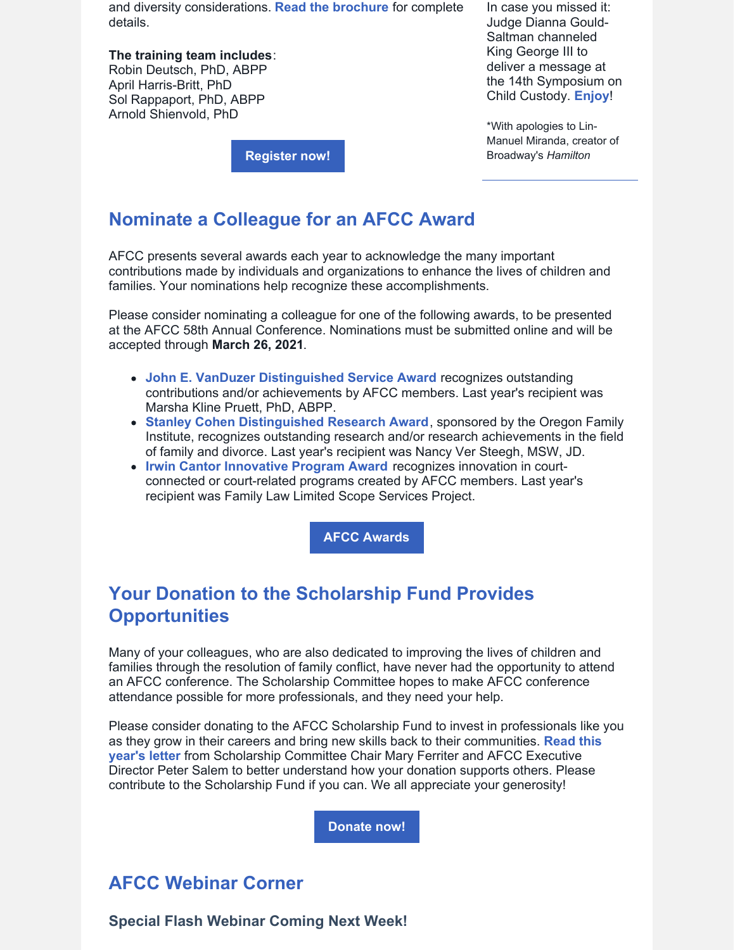and diversity considerations. **Read the [brochure](https://www.afccnet.org/Portals/0/AFCC V-Training 1220 571%c3%98%c3%98-3.pdf)** for complete details.

**The training team includes**: Robin Deutsch, PhD, ABPP April Harris-Britt, PhD Sol Rappaport, PhD, ABPP Arnold Shienvold, PhD

In case you missed it: Judge Dianna Gould-Saltman channeled King George III to deliver a message at the 14th Symposium on Child Custody. **[Enjoy](https://www.afccnet.org/14symposium/Well-Be-Back)**!

\*With apologies to Lin-Manuel Miranda, creator of Broadway's *Hamilton*

**[Register](https://www.afccnet.org/march2021training) now!**

### **Nominate a Colleague for an AFCC Award**

AFCC presents several awards each year to acknowledge the many important contributions made by individuals and organizations to enhance the lives of children and families. Your nominations help recognize these accomplishments.

Please consider nominating a colleague for one of the following awards, to be presented at the AFCC 58th Annual Conference. Nominations must be submitted online and will be accepted through **March 26, 2021**.

- **John E. VanDuzer [Distinguished](https://www.afccnet.org/About/Awards/ctl/ViewAward/AwardID/1/mid/543) Service Award** recognizes outstanding contributions and/or achievements by AFCC members. Last year's recipient was Marsha Kline Pruett, PhD, ABPP.
- **Stanley Cohen [Distinguished](https://www.afccnet.org/About/Awards/ctl/ViewAward/AwardID/2/mid/543) Research Award**, sponsored by the Oregon Family Institute, recognizes outstanding research and/or research achievements in the field of family and divorce. Last year's recipient was Nancy Ver Steegh, MSW, JD.
- **Irwin Cantor [Innovative](https://www.afccnet.org/About/Awards/ctl/ViewAward/AwardID/3/mid/543) Program Award** recognizes innovation in courtconnected or court-related programs created by AFCC members. Last year's recipient was Family Law Limited Scope Services Project.

**AFCC [Awards](https://www.afccnet.org/About/Awards)**

## **Your Donation to the Scholarship Fund Provides Opportunities**

Many of your colleagues, who are also dedicated to improving the lives of children and families through the resolution of family conflict, have never had the opportunity to attend an AFCC conference. The Scholarship Committee hopes to make AFCC conference attendance possible for more professionals, and they need your help.

Please consider donating to the AFCC Scholarship Fund to invest in professionals like you as they grow in their careers and bring new skills back to their [communities.](https://files.constantcontact.com/6beb60a3701/94b674f2-3680-4be4-bba3-3ef52a9fb59b.pdf) **Read this year's letter** from Scholarship Committee Chair Mary Ferriter and AFCC Executive Director Peter Salem to better understand how your donation supports others. Please contribute to the Scholarship Fund if you can. We all appreciate your generosity!

**[Donate](https://members.afccnet.org/donate-now) now!**

## **AFCC Webinar Corner**

**Special Flash Webinar Coming Next Week!**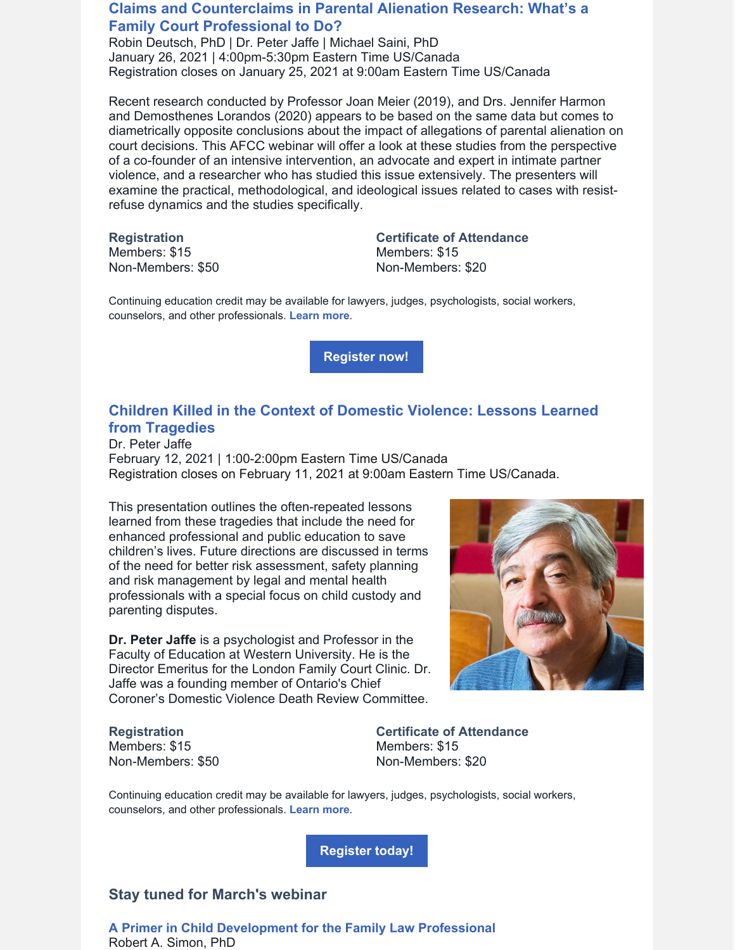#### **Claims and [Counterclaims](https://www.afccnet.org/Conferences-Training/Webinars/ctl/ViewConference/ConferenceID/409/mid/772) in Parental Alienation Research: What's a Family Court Professional to Do?**

Robin Deutsch, PhD | Dr. Peter Jaffe | Michael Saini, PhD January 26, 2021 | 4:00pm-5:30pm Eastern Time US/Canada Registration closes on January 25, 2021 at 9:00am Eastern Time US/Canada

Recent research conducted by Professor Joan Meier (2019), and Drs. Jennifer Harmon and Demosthenes Lorandos (2020) appears to be based on the same data but comes to diametrically opposite conclusions about the impact of allegations of parental alienation on court decisions. This AFCC webinar will offer a look at these studies from the perspective of a co-founder of an intensive intervention, an advocate and expert in intimate partner violence, and a researcher who has studied this issue extensively. The presenters will examine the practical, methodological, and ideological issues related to cases with resistrefuse dynamics and the studies specifically.

**Registration** Members: \$15 Non-Members: \$50 **Certificate of Attendance** Members: \$15 Non-Members: \$20

Continuing education credit may be available for lawyers, judges, psychologists, social workers, counselors, and other professionals. **[Learn](https://www.afccnet.org/Conferences-Training/Webinars/ctl/ViewConference/ConferenceID/409/mid/772) more**.

**[Register](https://www.afccnet.org/Conferences-Training/Webinars/ctl/ViewConference/ConferenceID/409/mid/772) now!**

#### **Children Killed in the Context of Domestic Violence: Lessons Learned from [Tragedies](https://www.afccnet.org/Conferences-Training/Webinars/ctl/ViewConference/ConferenceID/361/mid/772)**

Dr. Peter Jaffe February 12, 2021 | 1:00-2:00pm Eastern Time US/Canada Registration closes on February 11, 2021 at 9:00am Eastern Time US/Canada.

This presentation outlines the often-repeated lessons learned from these tragedies that include the need for enhanced professional and public education to save children's lives. Future directions are discussed in terms of the need for better risk assessment, safety planning and risk management by legal and mental health professionals with a special focus on child custody and parenting disputes.

**Dr. Peter Jaffe** is a psychologist and Professor in the Faculty of Education at Western University. He is the Director Emeritus for the London Family Court Clinic. Dr. Jaffe was a founding member of Ontario's Chief Coroner's Domestic Violence Death Review Committee.

**Registration** Members: \$15 Non-Members: \$50

**Certificate of Attendance** Members: \$15 Non-Members: \$20

Continuing education credit may be available for lawyers, judges, psychologists, social workers, counselors, and other professionals. **[Learn](https://www.afccnet.org/Conferences-Training/Webinars/ctl/ViewConference/ConferenceID/361/mid/772) more**.

**[Register](https://www.afccnet.org/Conferences-Training/Webinars/ctl/ViewConference/ConferenceID/361/mid/772) today!**

#### **Stay tuned for March's webinar**

**A Primer in Child [Development](https://www.afccnet.org/Conferences-Training/Webinars/ctl/ViewConference/ConferenceID/364/mid/772) for the Family Law Professional** Robert A. Simon, PhD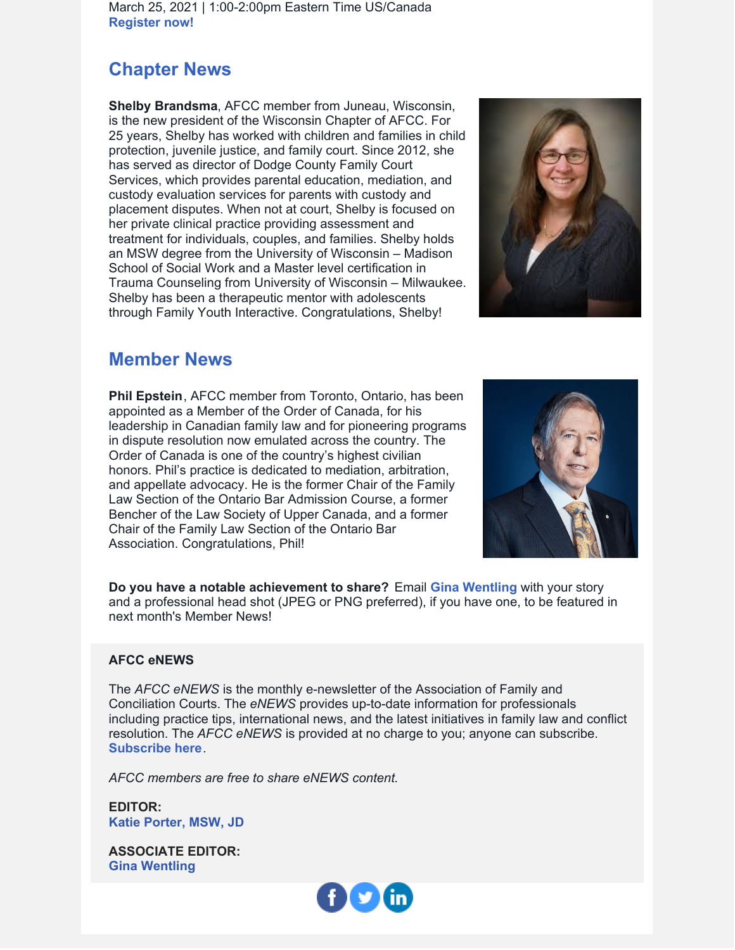March 25, 2021 | 1:00-2:00pm Eastern Time US/Canada **[Register](https://www.afccnet.org/Conferences-Training/Webinars/ctl/ViewConference/ConferenceID/364/mid/772) now!**

## **Chapter News**

**Shelby Brandsma**, AFCC member from Juneau, Wisconsin, is the new president of the Wisconsin Chapter of AFCC. For 25 years, Shelby has worked with children and families in child protection, juvenile justice, and family court. Since 2012, she has served as director of Dodge County Family Court Services, which provides parental education, mediation, and custody evaluation services for parents with custody and placement disputes. When not at court, Shelby is focused on her private clinical practice providing assessment and treatment for individuals, couples, and families. Shelby holds an MSW degree from the University of Wisconsin – Madison School of Social Work and a Master level certification in Trauma Counseling from University of Wisconsin – Milwaukee. Shelby has been a therapeutic mentor with adolescents through Family Youth Interactive. Congratulations, Shelby!



## **Member News**

**Phil Epstein**, AFCC member from Toronto, Ontario, has been appointed as a Member of the Order of Canada, for his leadership in Canadian family law and for pioneering programs in dispute resolution now emulated across the country. The Order of Canada is one of the country's highest civilian honors. Phil's practice is dedicated to mediation, arbitration, and appellate advocacy. He is the former Chair of the Family Law Section of the Ontario Bar Admission Course, a former Bencher of the Law Society of Upper Canada, and a former Chair of the Family Law Section of the Ontario Bar Association. Congratulations, Phil!



**Do you have a notable achievement to share?** Email **Gina [Wentling](mailto:gwentling@afccnet.org)** with your story and a professional head shot (JPEG or PNG preferred), if you have one, to be featured in next month's Member News!

#### **AFCC eNEWS**

The *AFCC eNEWS* is the monthly e-newsletter of the Association of Family and Conciliation Courts. The *eNEWS* provides up-to-date information for professionals including practice tips, international news, and the latest initiatives in family law and conflict resolution. The *AFCC eNEWS* is provided at no charge to you; anyone can subscribe. **[Subscribe](http://www.afccnet.org/Resource-Center/AFCC-eNEWS) here**.

*AFCC members are free to share eNEWS content.*

**EDITOR: Katie [Porter,](mailto:kporter@afccnet.org) MSW, JD**

**ASSOCIATE EDITOR: Gina [Wentling](mailto:gwentling@afccnet.org)**

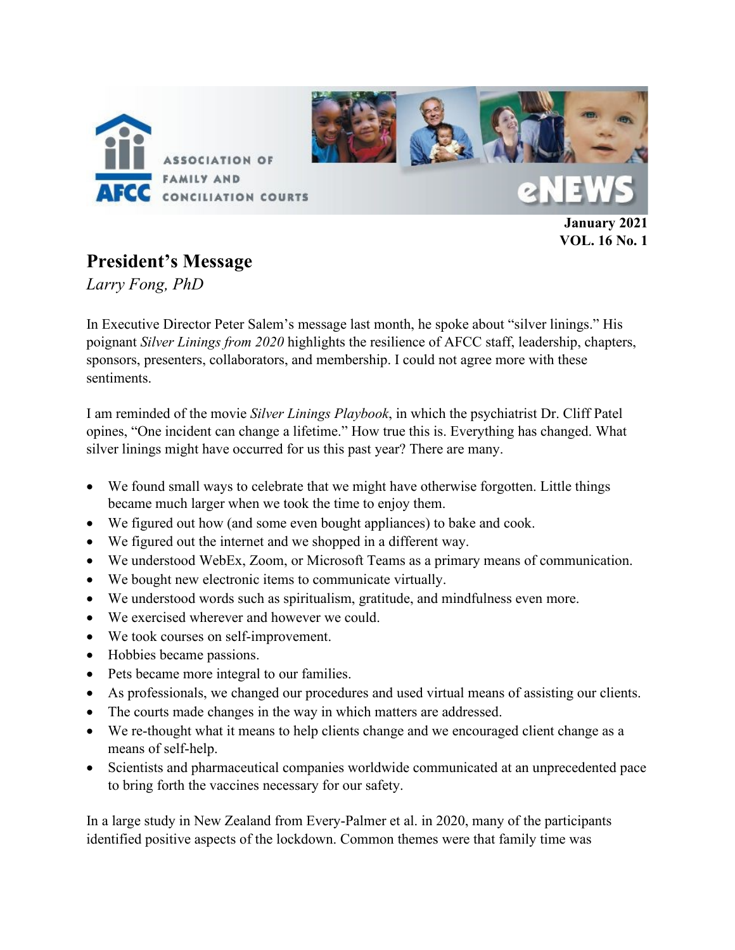

**January 2021 VOL. 16 No. 1**

## **President's Message**

*Larry Fong, PhD*

In Executive Director Peter Salem's message last month, he spoke about "silver linings." His poignant *Silver Linings from 2020* highlights the resilience of AFCC staff, leadership, chapters, sponsors, presenters, collaborators, and membership. I could not agree more with these sentiments.

I am reminded of the movie *Silver Linings Playbook*, in which the psychiatrist Dr. Cliff Patel opines, "One incident can change a lifetime." How true this is. Everything has changed. What silver linings might have occurred for us this past year? There are many.

- We found small ways to celebrate that we might have otherwise forgotten. Little things became much larger when we took the time to enjoy them.
- We figured out how (and some even bought appliances) to bake and cook.
- We figured out the internet and we shopped in a different way.
- We understood WebEx, Zoom, or Microsoft Teams as a primary means of communication.
- We bought new electronic items to communicate virtually.
- We understood words such as spiritualism, gratitude, and mindfulness even more.
- We exercised wherever and however we could.
- We took courses on self-improvement.
- Hobbies became passions.
- Pets became more integral to our families.
- As professionals, we changed our procedures and used virtual means of assisting our clients.
- The courts made changes in the way in which matters are addressed.
- We re-thought what it means to help clients change and we encouraged client change as a means of self-help.
- Scientists and pharmaceutical companies worldwide communicated at an unprecedented pace to bring forth the vaccines necessary for our safety.

In a large study in New Zealand from Every-Palmer et al. in 2020, many of the participants identified positive aspects of the lockdown. Common themes were that family time was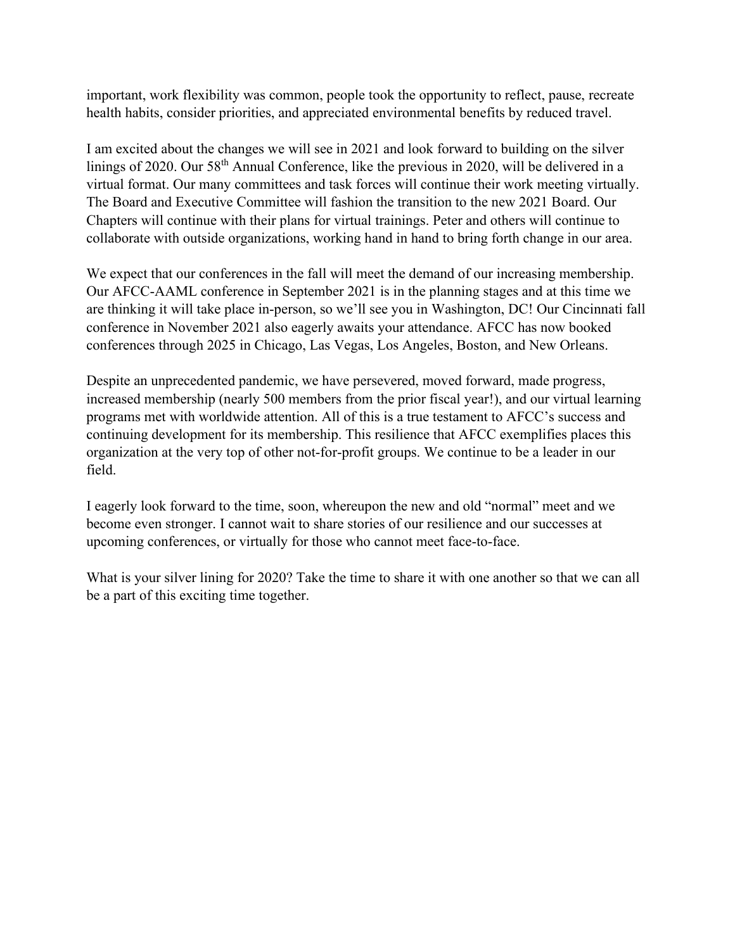important, work flexibility was common, people took the opportunity to reflect, pause, recreate health habits, consider priorities, and appreciated environmental benefits by reduced travel.

I am excited about the changes we will see in 2021 and look forward to building on the silver linings of 2020. Our 58<sup>th</sup> Annual Conference, like the previous in 2020, will be delivered in a virtual format. Our many committees and task forces will continue their work meeting virtually. The Board and Executive Committee will fashion the transition to the new 2021 Board. Our Chapters will continue with their plans for virtual trainings. Peter and others will continue to collaborate with outside organizations, working hand in hand to bring forth change in our area.

We expect that our conferences in the fall will meet the demand of our increasing membership. Our AFCC-AAML conference in September 2021 is in the planning stages and at this time we are thinking it will take place in-person, so we'll see you in Washington, DC! Our Cincinnati fall conference in November 2021 also eagerly awaits your attendance. AFCC has now booked conferences through 2025 in Chicago, Las Vegas, Los Angeles, Boston, and New Orleans.

Despite an unprecedented pandemic, we have persevered, moved forward, made progress, increased membership (nearly 500 members from the prior fiscal year!), and our virtual learning programs met with worldwide attention. All of this is a true testament to AFCC's success and continuing development for its membership. This resilience that AFCC exemplifies places this organization at the very top of other not-for-profit groups. We continue to be a leader in our field.

I eagerly look forward to the time, soon, whereupon the new and old "normal" meet and we become even stronger. I cannot wait to share stories of our resilience and our successes at upcoming conferences, or virtually for those who cannot meet face-to-face.

What is your silver lining for 2020? Take the time to share it with one another so that we can all be a part of this exciting time together.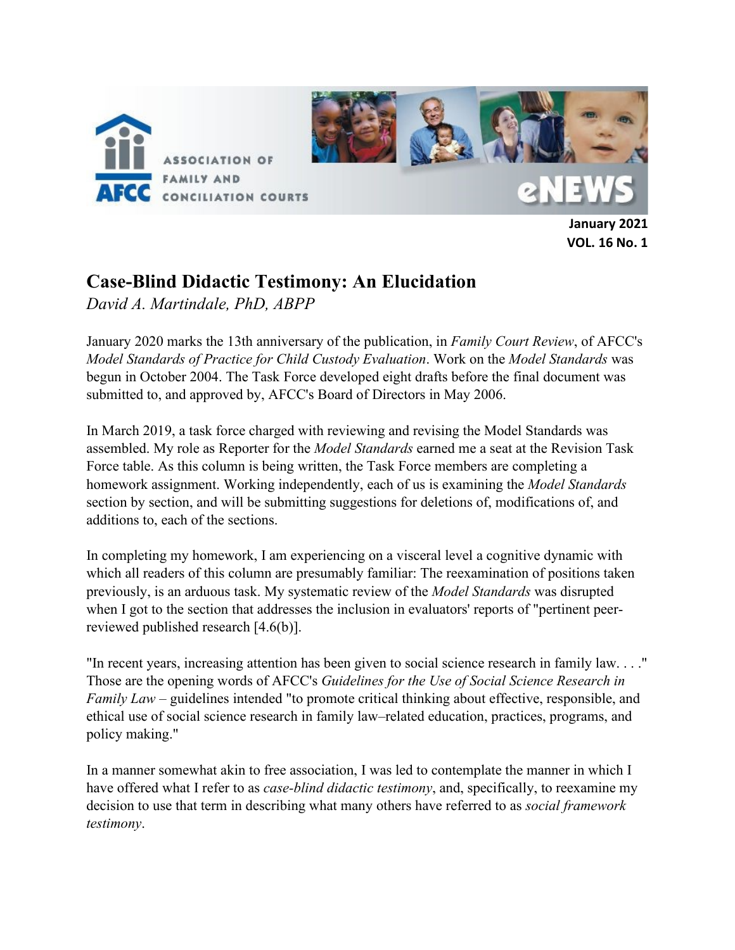

**January 2021 VOL. 16 No. 1** 

## **Case-Blind Didactic Testimony: An Elucidation**

*David A. Martindale, PhD, ABPP*

January 2020 marks the 13th anniversary of the publication, in *Family Court Review*, of AFCC's *Model Standards of Practice for Child Custody Evaluation*. Work on the *Model Standards* was begun in October 2004. The Task Force developed eight drafts before the final document was submitted to, and approved by, AFCC's Board of Directors in May 2006.

In March 2019, a task force charged with reviewing and revising the Model Standards was assembled. My role as Reporter for the *Model Standards* earned me a seat at the Revision Task Force table. As this column is being written, the Task Force members are completing a homework assignment. Working independently, each of us is examining the *Model Standards*  section by section, and will be submitting suggestions for deletions of, modifications of, and additions to, each of the sections.

In completing my homework, I am experiencing on a visceral level a cognitive dynamic with which all readers of this column are presumably familiar: The reexamination of positions taken previously, is an arduous task. My systematic review of the *Model Standards* was disrupted when I got to the section that addresses the inclusion in evaluators' reports of "pertinent peerreviewed published research [4.6(b)].

"In recent years, increasing attention has been given to social science research in family law. . . ." Those are the opening words of AFCC's *Guidelines for the Use of Social Science Research in Family Law* – guidelines intended "to promote critical thinking about effective, responsible, and ethical use of social science research in family law–related education, practices, programs, and policy making."

In a manner somewhat akin to free association, I was led to contemplate the manner in which I have offered what I refer to as *case-blind didactic testimony*, and, specifically, to reexamine my decision to use that term in describing what many others have referred to as *social framework testimony*.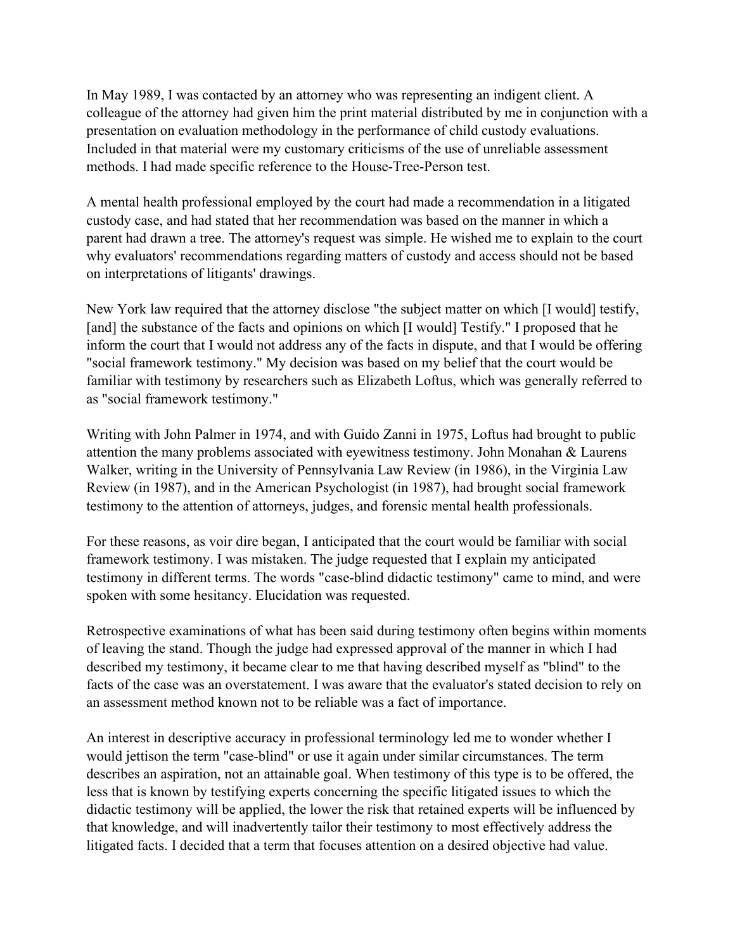In May 1989, I was contacted by an attorney who was representing an indigent client. A colleague of the attorney had given him the print material distributed by me in conjunction with a presentation on evaluation methodology in the performance of child custody evaluations. Included in that material were my customary criticisms of the use of unreliable assessment methods. I had made specific reference to the House-Tree-Person test.

A mental health professional employed by the court had made a recommendation in a litigated custody case, and had stated that her recommendation was based on the manner in which a parent had drawn a tree. The attorney's request was simple. He wished me to explain to the court why evaluators' recommendations regarding matters of custody and access should not be based on interpretations of litigants' drawings.

New York law required that the attorney disclose "the subject matter on which [I would] testify, [and] the substance of the facts and opinions on which [I would] Testify." I proposed that he inform the court that I would not address any of the facts in dispute, and that I would be offering "social framework testimony." My decision was based on my belief that the court would be familiar with testimony by researchers such as Elizabeth Loftus, which was generally referred to as "social framework testimony."

Writing with John Palmer in 1974, and with Guido Zanni in 1975, Loftus had brought to public attention the many problems associated with eyewitness testimony. John Monahan & Laurens Walker, writing in the University of Pennsylvania Law Review (in 1986), in the Virginia Law Review (in 1987), and in the American Psychologist (in 1987), had brought social framework testimony to the attention of attorneys, judges, and forensic mental health professionals.

For these reasons, as voir dire began, I anticipated that the court would be familiar with social framework testimony. I was mistaken. The judge requested that I explain my anticipated testimony in different terms. The words "case-blind didactic testimony" came to mind, and were spoken with some hesitancy. Elucidation was requested.

Retrospective examinations of what has been said during testimony often begins within moments of leaving the stand. Though the judge had expressed approval of the manner in which I had described my testimony, it became clear to me that having described myself as "blind" to the facts of the case was an overstatement. I was aware that the evaluator's stated decision to rely on an assessment method known not to be reliable was a fact of importance.

An interest in descriptive accuracy in professional terminology led me to wonder whether I would jettison the term "case-blind" or use it again under similar circumstances. The term describes an aspiration, not an attainable goal. When testimony of this type is to be offered, the less that is known by testifying experts concerning the specific litigated issues to which the didactic testimony will be applied, the lower the risk that retained experts will be influenced by that knowledge, and will inadvertently tailor their testimony to most effectively address the litigated facts. I decided that a term that focuses attention on a desired objective had value.